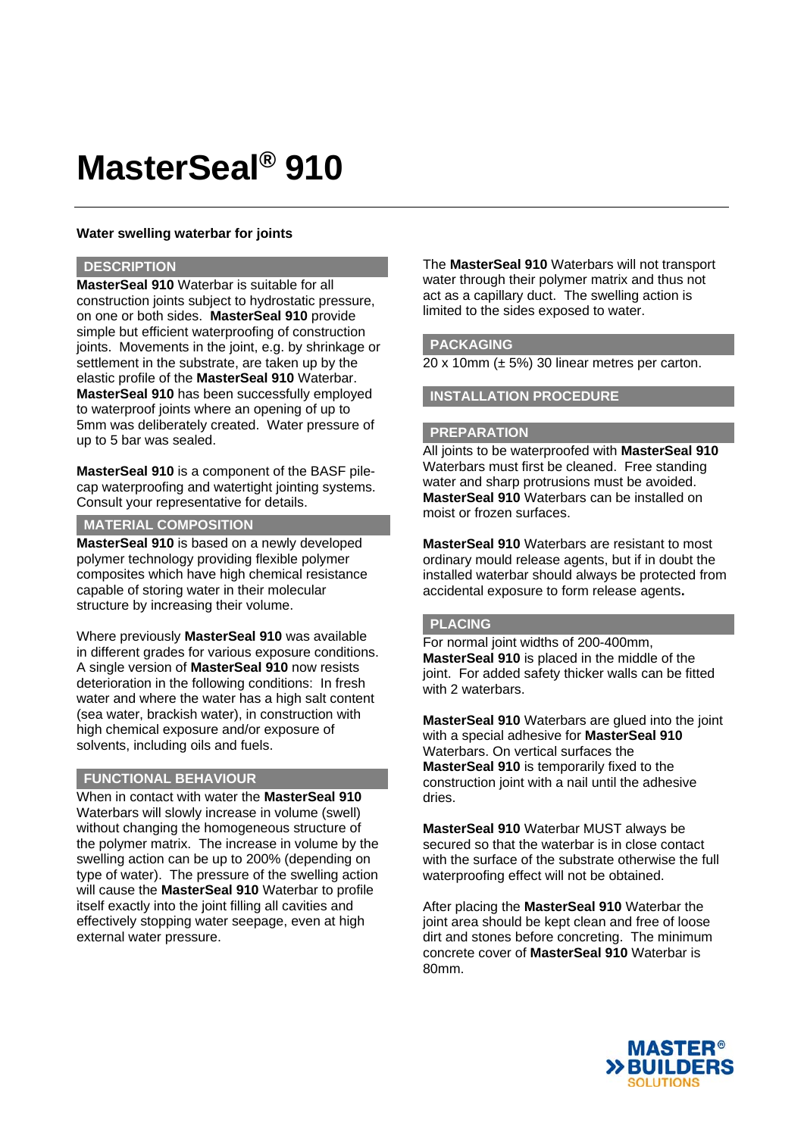# **MasterSeal® 910**

# **Water swelling waterbar for joints**

### **DESCRIPTION**

**MasterSeal 910** Waterbar is suitable for all construction joints subject to hydrostatic pressure, on one or both sides. **MasterSeal 910** provide simple but efficient waterproofing of construction joints. Movements in the joint, e.g. by shrinkage or settlement in the substrate, are taken up by the elastic profile of the **MasterSeal 910** Waterbar. **MasterSeal 910** has been successfully employed to waterproof joints where an opening of up to 5mm was deliberately created. Water pressure of up to 5 bar was sealed.

**MasterSeal 910** is a component of the BASF pilecap waterproofing and watertight jointing systems. Consult your representative for details.

#### **MATERIAL COMPOSITION**

**MasterSeal 910** is based on a newly developed polymer technology providing flexible polymer composites which have high chemical resistance capable of storing water in their molecular structure by increasing their volume.

Where previously **MasterSeal 910** was available in different grades for various exposure conditions. A single version of **MasterSeal 910** now resists deterioration in the following conditions: In fresh water and where the water has a high salt content (sea water, brackish water), in construction with high chemical exposure and/or exposure of solvents, including oils and fuels.

# **FUNCTIONAL BEHAVIOUR**

When in contact with water the **MasterSeal 910** Waterbars will slowly increase in volume (swell) without changing the homogeneous structure of the polymer matrix. The increase in volume by the swelling action can be up to 200% (depending on type of water). The pressure of the swelling action will cause the **MasterSeal 910** Waterbar to profile itself exactly into the joint filling all cavities and effectively stopping water seepage, even at high external water pressure.

The **MasterSeal 910** Waterbars will not transport water through their polymer matrix and thus not act as a capillary duct. The swelling action is limited to the sides exposed to water.

### **PACKAGING**

 $20 \times 10$ mm ( $\pm$  5%) 30 linear metres per carton.

## **INSTALLATION PROCEDURE**

#### **PREPARATION**

All joints to be waterproofed with **MasterSeal 910** Waterbars must first be cleaned. Free standing water and sharp protrusions must be avoided. **MasterSeal 910** Waterbars can be installed on moist or frozen surfaces.

**MasterSeal 910** Waterbars are resistant to most ordinary mould release agents, but if in doubt the installed waterbar should always be protected from accidental exposure to form release agents**.** 

### **PLACING**

For normal joint widths of 200-400mm, **MasterSeal 910** is placed in the middle of the joint. For added safety thicker walls can be fitted with 2 waterbars.

**MasterSeal 910** Waterbars are glued into the joint with a special adhesive for **MasterSeal 910** Waterbars. On vertical surfaces the **MasterSeal 910** is temporarily fixed to the construction joint with a nail until the adhesive dries.

**MasterSeal 910** Waterbar MUST always be secured so that the waterbar is in close contact with the surface of the substrate otherwise the full waterproofing effect will not be obtained.

After placing the **MasterSeal 910** Waterbar the joint area should be kept clean and free of loose dirt and stones before concreting. The minimum concrete cover of **MasterSeal 910** Waterbar is 80mm.